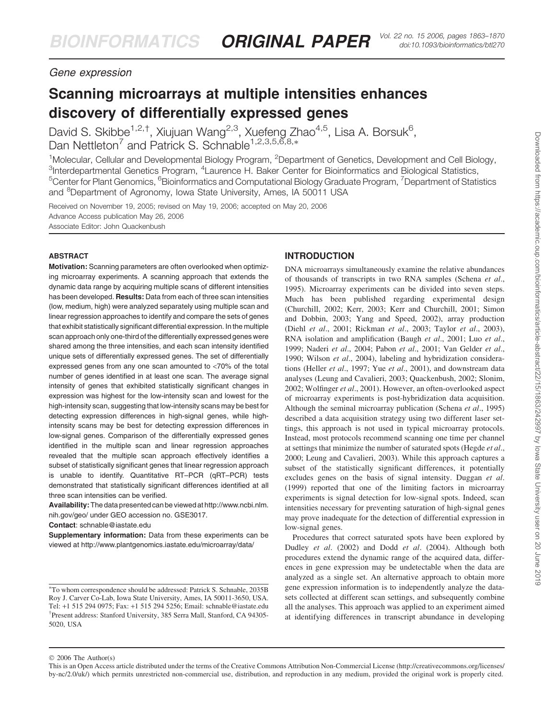# Gene expression

# Scanning microarrays at multiple intensities enhances discovery of differentially expressed genes

David S. Skibbe<sup>1,2,†</sup>, Xiujuan Wang<sup>2,3</sup>, Xuefeng Zhao<sup>4,5</sup>, Lisa A. Borsuk<sup>6</sup>, Dan Nettleton<sup>7</sup> and Patrick S. Schnable<sup>1,2,3,5,6,8,\*</sup>

<sup>1</sup>Molecular, Cellular and Developmental Biology Program, <sup>2</sup>Department of Genetics, Development and Cell Biology, <sup>3</sup>Interdepartmental Genetics Program, <sup>4</sup>Laurence H. Baker Center for Bioinformatics and Biological Statistics, <sup>5</sup>Center for Plant Genomics, <sup>6</sup>Bioinformatics and Computational Biology Graduate Program, <sup>7</sup>Department of Statistics and <sup>8</sup>Department of Agronomy, Iowa State University, Ames, IA 50011 USA

Received on November 19, 2005; revised on May 19, 2006; accepted on May 20, 2006 Advance Access publication May 26, 2006 Associate Editor: John Quackenbush

#### ABSTRACT

Motivation: Scanning parameters are often overlooked when optimizing microarray experiments. A scanning approach that extends the dynamic data range by acquiring multiple scans of different intensities has been developed. Results: Data from each of three scan intensities (low, medium, high) were analyzed separately using multiple scan and linear regression approaches to identify and compare the sets of genes that exhibit statistically significant differential expression. In the multiple scan approach only one-third of the differentially expressed genes were shared among the three intensities, and each scan intensity identified unique sets of differentially expressed genes. The set of differentially expressed genes from any one scan amounted to <70% of the total number of genes identified in at least one scan. The average signal intensity of genes that exhibited statistically significant changes in expression was highest for the low-intensity scan and lowest for the high-intensity scan, suggesting that low-intensity scans may be best for detecting expression differences in high-signal genes, while highintensity scans may be best for detecting expression differences in low-signal genes. Comparison of the differentially expressed genes identified in the multiple scan and linear regression approaches revealed that the multiple scan approach effectively identifies a subset of statistically significant genes that linear regression approach is unable to identify. Quantitative RT–PCR (qRT–PCR) tests demonstrated that statistically significant differences identified at all three scan intensities can be verified.

Availability: The data presented can be viewed at [http://www.ncbi.nlm.](http://www.ncbi.nlm) nih.gov/geo/ under GEO accession no. GSE3017.

Contact: schnable@iastate.edu

Supplementary information: Data from these experiments can be viewed at<http://www.plantgenomics.iastate.edu/microarray/data/>

# INTRODUCTION

DNA microarrays simultaneously examine the relative abundances of thousands of transcripts in two RNA samples (Schena et al., 1995). Microarray experiments can be divided into seven steps. Much has been published regarding experimental design (Churchill, 2002; Kerr, 2003; Kerr and Churchill, 2001; Simon and Dobbin, 2003; Yang and Speed, 2002), array production (Diehl et al., 2001; Rickman et al., 2003; Taylor et al., 2003), RNA isolation and amplification (Baugh et al., 2001; Luo et al., 1999; Naderi et al., 2004; Pabon et al., 2001; Van Gelder et al., 1990; Wilson et al., 2004), labeling and hybridization considerations (Heller et al., 1997; Yue et al., 2001), and downstream data analyses (Leung and Cavalieri, 2003; Quackenbush, 2002; Slonim, 2002; Wolfinger et al., 2001). However, an often-overlooked aspect of microarray experiments is post-hybridization data acquisition. Although the seminal microarray publication (Schena et al., 1995) described a data acquisition strategy using two different laser settings, this approach is not used in typical microarray protocols. Instead, most protocols recommend scanning one time per channel at settings that minimize the number of saturated spots (Hegde et al., 2000; Leung and Cavalieri, 2003). While this approach captures a subset of the statistically significant differences, it potentially excludes genes on the basis of signal intensity. Duggan et al. (1999) reported that one of the limiting factors in microarray experiments is signal detection for low-signal spots. Indeed, scan intensities necessary for preventing saturation of high-signal genes may prove inadequate for the detection of differential expression in low-signal genes.

Procedures that correct saturated spots have been explored by Dudley et al. (2002) and Dodd et al. (2004). Although both procedures extend the dynamic range of the acquired data, differences in gene expression may be undetectable when the data are analyzed as a single set. An alternative approach to obtain more gene expression information is to independently analyze the datasets collected at different scan settings, and subsequently combine all the analyses. This approach was applied to an experiment aimed at identifying differences in transcript abundance in developing

To whom correspondence should be addressed: Patrick S. Schnable, 2035B Roy J. Carver Co-Lab, Iowa State University, Ames, IA 50011-3650, USA. Tel: <sup>+</sup>1 515 294 0975; Fax: <sup>+</sup>1 515 294 5256; Email: schnable@iastate.edu † Present address: Stanford University, 385 Serra Mall, Stanford, CA 94305- 5020, USA

 $© 2006$  The Author(s)

This is an Open Access article distributed under the terms of the Creative Commons Attribution Non-Commercial License [\(http://creativecommons.org/licenses/](http://creativecommons.org/licenses/) by-nc/2.0/uk/) which permits unrestricted non-commercial use, distribution, and reproduction in any medium, provided the original work is properly cited.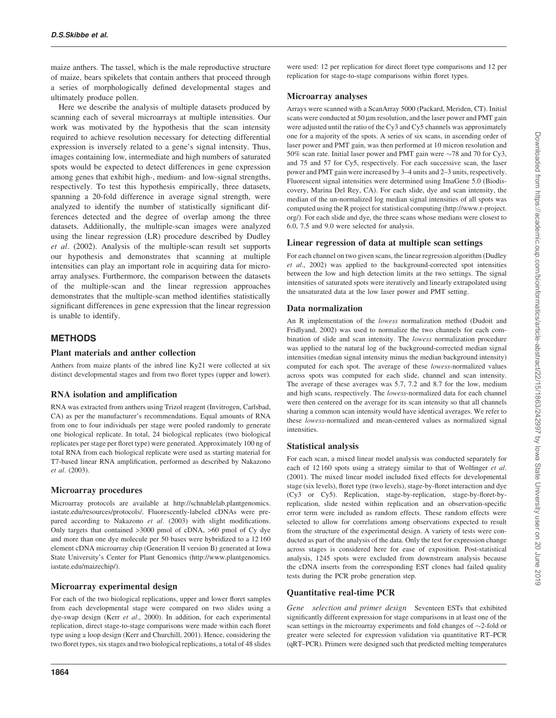maize anthers. The tassel, which is the male reproductive structure of maize, bears spikelets that contain anthers that proceed through a series of morphologically defined developmental stages and ultimately produce pollen.

Here we describe the analysis of multiple datasets produced by scanning each of several microarrays at multiple intensities. Our work was motivated by the hypothesis that the scan intensity required to achieve resolution necessary for detecting differential expression is inversely related to a gene's signal intensity. Thus, images containing low, intermediate and high numbers of saturated spots would be expected to detect differences in gene expression among genes that exhibit high-, medium- and low-signal strengths, respectively. To test this hypothesis empirically, three datasets, spanning a 20-fold difference in average signal strength, were analyzed to identify the number of statistically significant differences detected and the degree of overlap among the three datasets. Additionally, the multiple-scan images were analyzed using the linear regression (LR) procedure described by Dudley et al. (2002). Analysis of the multiple-scan result set supports our hypothesis and demonstrates that scanning at multiple intensities can play an important role in acquiring data for microarray analyses. Furthermore, the comparison between the datasets of the multiple-scan and the linear regression approaches demonstrates that the multiple-scan method identifies statistically significant differences in gene expression that the linear regression is unable to identify.

# **METHODS**

#### Plant materials and anther collection

Anthers from maize plants of the inbred line Ky21 were collected at six distinct developmental stages and from two floret types (upper and lower).

# RNA isolation and amplification

RNA was extracted from anthers using Trizol reagent (Invitrogen, Carlsbad, CA) as per the manufacturer's recommendations. Equal amounts of RNA from one to four individuals per stage were pooled randomly to generate one biological replicate. In total, 24 biological replicates (two biological replicates per stage per floret type) were generated. Approximately 100 ng of total RNA from each biological replicate were used as starting material for T7-based linear RNA amplification, performed as described by Nakazono et al. (2003).

#### Microarray procedures

Microarray protocols are available at [http://schnablelab.plantgenomics.](http://schnablelab.plantgenomics) iastate.edu/resources/protocols/. Fluorescently-labeled cDNAs were prepared according to Nakazono et al. (2003) with slight modifications. Only targets that contained >3000 pmol of cDNA, >60 pmol of Cy dye and more than one dye molecule per 50 bases were hybridized to a 12 160 element cDNA microarray chip (Generation II version B) generated at Iowa State University's Center for Plant Genomics [\(http://www.plantgenomics.](http://www.plantgenomics) iastate.edu/maizechip/).

#### Microarray experimental design

For each of the two biological replications, upper and lower floret samples from each developmental stage were compared on two slides using a dye-swap design (Kerr et al., 2000). In addition, for each experimental replication, direct stage-to-stage comparisons were made within each floret type using a loop design (Kerr and Churchill, 2001). Hence, considering the two floret types, six stages and two biological replications, a total of 48 slides

were used: 12 per replication for direct floret type comparisons and 12 per replication for stage-to-stage comparisons within floret types.

#### Microarray analyses

Arrays were scanned with a ScanArray 5000 (Packard, Meriden, CT). Initial scans were conducted at  $50 \mu m$  resolution, and the laser power and PMT gain were adjusted until the ratio of the Cy3 and Cy5 channels was approximately one for a majority of the spots. A series of six scans, in ascending order of laser power and PMT gain, was then performed at 10 micron resolution and 50% scan rate. Initial laser power and PMT gain were  $\sim$ 78 and 70 for Cy3, and 75 and 57 for Cy5, respectively. For each successive scan, the laser power and PMT gain were increased by 3–4 units and 2–3 units, respectively. Fluorescent signal intensities were determined using ImaGene 5.0 (Biodiscovery, Marina Del Rey, CA). For each slide, dye and scan intensity, the median of the un-normalized log median signal intensities of all spots was computed using the R project for statistical computing [\(http://www.r-project.](http://www.r-project) org/). For each slide and dye, the three scans whose medians were closest to 6.0, 7.5 and 9.0 were selected for analysis.

# Linear regression of data at multiple scan settings

For each channel on two given scans, the linear regression algorithm (Dudley et al., 2002) was applied to the background-corrected spot intensities between the low and high detection limits at the two settings. The signal intensities of saturated spots were iteratively and linearly extrapolated using the unsaturated data at the low laser power and PMT setting.

#### Data normalization

An R implementation of the *lowess* normalization method (Dudoit and Fridlyand, 2002) was used to normalize the two channels for each combination of slide and scan intensity. The lowess normalization procedure was applied to the natural log of the background-corrected median signal intensities (median signal intensity minus the median background intensity) computed for each spot. The average of these lowess-normalized values across spots was computed for each slide, channel and scan intensity. The average of these averages was 5.7, 7.2 and 8.7 for the low, medium and high scans, respectively. The lowess-normalized data for each channel were then centered on the average for its scan intensity so that all channels sharing a common scan intensity would have identical averages. We refer to these lowess-normalized and mean-centered values as normalized signal intensities.

#### Statistical analysis

For each scan, a mixed linear model analysis was conducted separately for each of 12 160 spots using a strategy similar to that of Wolfinger et al. (2001). The mixed linear model included fixed effects for developmental stage (six levels), floret type (two levels), stage-by-floret interaction and dye (Cy3 or Cy5). Replication, stage-by-replication, stage-by-floret-byreplication, slide nested within replication and an observation-specific error term were included as random effects. These random effects were selected to allow for correlations among observations expected to result from the structure of the experimental design. A variety of tests were conducted as part of the analysis of the data. Only the test for expression change across stages is considered here for ease of exposition. Post-statistical analysis, 1245 spots were excluded from downstream analysis because the cDNA inserts from the corresponding EST clones had failed quality tests during the PCR probe generation step.

# Quantitative real-time PCR

Gene selection and primer design Seventeen ESTs that exhibited significantly different expression for stage comparisons in at least one of the scan settings in the microarray experiments and fold changes of  $\sim$ 2-fold or greater were selected for expression validation via quantitative RT–PCR (qRT–PCR). Primers were designed such that predicted melting temperatures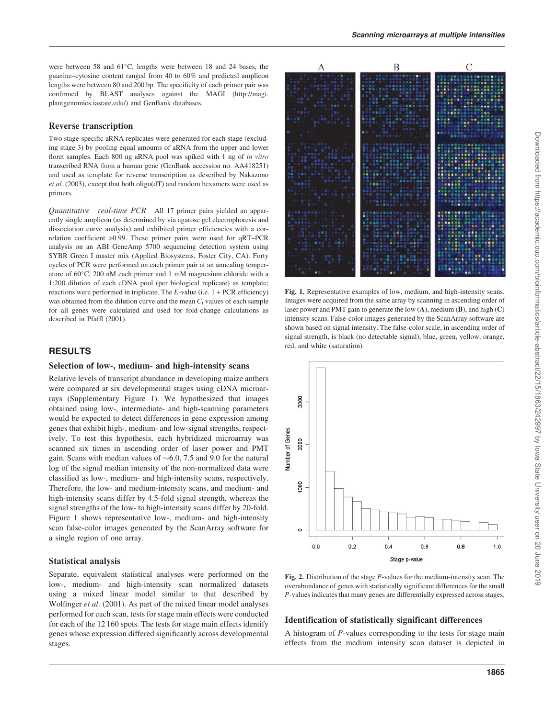were between 58 and 61°C, lengths were between 18 and 24 bases, the guanine–cytosine content ranged from 40 to 60% and predicted amplicon lengths were between 80 and 200 bp. The specificity of each primer pair was confirmed by BLAST analyses against the MAGI ([http://magi.](http://magi) plantgenomics.iastate.edu/) and GenBank databases.

#### Reverse transcription

Two stage-specific aRNA replicates were generated for each stage (excluding stage 3) by pooling equal amounts of aRNA from the upper and lower floret samples. Each 800 ng aRNA pool was spiked with 1 ng of in vitro transcribed RNA from a human gene (GenBank accession no. AA418251) and used as template for reverse transcription as described by Nakazono et al. (2003), except that both oligo(dT) and random hexamers were used as primers.

Quantitative real-time PCR All 17 primer pairs yielded an apparently single amplicon (as determined by via agarose gel electrophoresis and dissociation curve analysis) and exhibited primer efficiencies with a correlation coefficient >0.99. These primer pairs were used for qRT–PCR analysis on an ABI GeneAmp 5700 sequencing detection system using SYBR Green I master mix (Applied Biosystems, Foster City, CA). Forty cycles of PCR were performed on each primer pair at an annealing temperature of 60°C, 200 nM each primer and 1 mM magnesium chloride with a 1:200 dilution of each cDNA pool (per biological replicate) as template; reactions were performed in triplicate. The  $E$ -value (i.e.  $1 + PCR$  efficiency) was obtained from the dilution curve and the mean  $C_t$  values of each sample for all genes were calculated and used for fold-change calculations as described in Pfaffl (2001).

# RESULTS

#### Selection of low-, medium- and high-intensity scans

Relative levels of transcript abundance in developing maize anthers were compared at six developmental stages using cDNA microarrays (Supplementary Figure 1). We hypothesized that images obtained using low-, intermediate- and high-scanning parameters would be expected to detect differences in gene expression among genes that exhibit high-, medium- and low-signal strengths, respectively. To test this hypothesis, each hybridized microarray was scanned six times in ascending order of laser power and PMT gain. Scans with median values of  $\sim$  6.0, 7.5 and 9.0 for the natural log of the signal median intensity of the non-normalized data were classified as low-, medium- and high-intensity scans, respectively. Therefore, the low- and medium-intensity scans, and medium- and high-intensity scans differ by 4.5-fold signal strength, whereas the signal strengths of the low- to high-intensity scans differ by 20-fold. Figure 1 shows representative low-, medium- and high-intensity scan false-color images generated by the ScanArray software for a single region of one array.

#### Statistical analysis

Separate, equivalent statistical analyses were performed on the low-, medium- and high-intensity scan normalized datasets using a mixed linear model similar to that described by Wolfinger et al. (2001). As part of the mixed linear model analyses performed for each scan, tests for stage main effects were conducted for each of the 12 160 spots. The tests for stage main effects identify genes whose expression differed significantly across developmental stages.



Fig. 1. Representative examples of low, medium, and high-intensity scans. Images were acquired from the same array by scanning in ascending order of laser power and PMT gain to generate the low  $(A)$ , medium  $(B)$ , and high  $(C)$ intensity scans. False-color images generated by the ScanArray software are shown based on signal intensity. The false-color scale, in ascending order of signal strength, is black (no detectable signal), blue, green, yellow, orange, red, and white (saturation).



Fig. 2. Distribution of the stage  $P$ -values for the medium-intensity scan. The overabundance of genes with statistically significant differences for the small P-values indicates that many genes are differentially expressed across stages.

#### Identification of statistically significant differences

A histogram of P-values corresponding to the tests for stage main effects from the medium intensity scan dataset is depicted in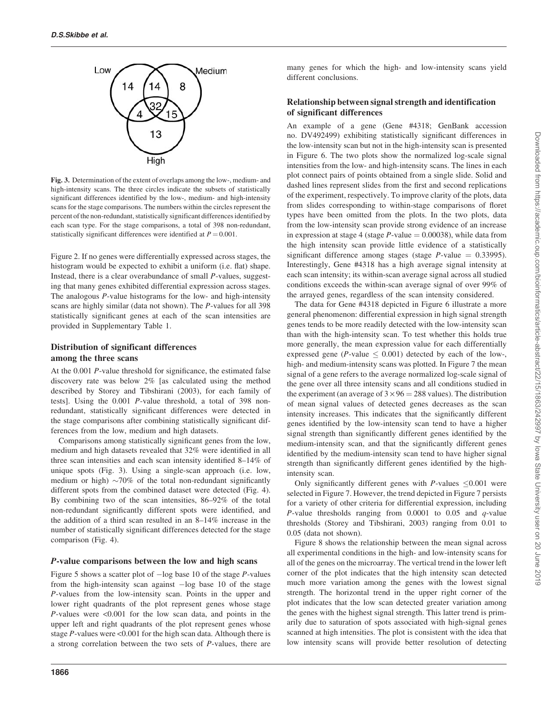

Fig. 3. Determination of the extent of overlaps among the low-, medium- and high-intensity scans. The three circles indicate the subsets of statistically significant differences identified by the low-, medium- and high-intensity scans for the stage comparisons. The numbers within the circles represent the percent of the non-redundant, statistically significant differences identified by each scan type. For the stage comparisons, a total of 398 non-redundant, statistically significant differences were identified at  $P = 0.001$ .

Figure 2. If no genes were differentially expressed across stages, the histogram would be expected to exhibit a uniform (i.e. flat) shape. Instead, there is a clear overabundance of small P-values, suggesting that many genes exhibited differential expression across stages. The analogous P-value histograms for the low- and high-intensity scans are highly similar (data not shown). The P-values for all 398 statistically significant genes at each of the scan intensities are provided in Supplementary Table 1.

# Distribution of significant differences among the three scans

At the 0.001 P-value threshold for significance, the estimated false discovery rate was below 2% [as calculated using the method described by Storey and Tibshirani (2003), for each family of tests]. Using the 0.001 P-value threshold, a total of 398 nonredundant, statistically significant differences were detected in the stage comparisons after combining statistically significant differences from the low, medium and high datasets.

Comparisons among statistically significant genes from the low, medium and high datasets revealed that 32% were identified in all three scan intensities and each scan intensity identified 8–14% of unique spots (Fig. 3). Using a single-scan approach (i.e. low, medium or high)  $\sim$ 70% of the total non-redundant significantly different spots from the combined dataset were detected (Fig. 4). By combining two of the scan intensities, 86–92% of the total non-redundant significantly different spots were identified, and the addition of a third scan resulted in an 8–14% increase in the number of statistically significant differences detected for the stage comparison (Fig. 4).

# *P*-value comparisons between the low and high scans

Figure 5 shows a scatter plot of  $-\log$  base 10 of the stage P-values from the high-intensity scan against  $-\log$  base 10 of the stage P-values from the low-intensity scan. Points in the upper and lower right quadrants of the plot represent genes whose stage  $P$ -values were  $\leq 0.001$  for the low scan data, and points in the upper left and right quadrants of the plot represent genes whose stage P-values were <0.001 for the high scan data. Although there is a strong correlation between the two sets of P-values, there are

1866

many genes for which the high- and low-intensity scans yield different conclusions.

# Relationship between signal strength and identification of significant differences

An example of a gene (Gene #4318; GenBank accession no. DV492499) exhibiting statistically significant differences in the low-intensity scan but not in the high-intensity scan is presented in Figure 6. The two plots show the normalized log-scale signal intensities from the low- and high-intensity scans. The lines in each plot connect pairs of points obtained from a single slide. Solid and dashed lines represent slides from the first and second replications of the experiment, respectively. To improve clarity of the plots, data from slides corresponding to within-stage comparisons of floret types have been omitted from the plots. In the two plots, data from the low-intensity scan provide strong evidence of an increase in expression at stage 4 (stage  $P$ -value = 0.00038), while data from the high intensity scan provide little evidence of a statistically significant difference among stages (stage  $P$ -value = 0.33995). Interestingly, Gene #4318 has a high average signal intensity at each scan intensity; its within-scan average signal across all studied conditions exceeds the within-scan average signal of over 99% of the arrayed genes, regardless of the scan intensity considered.

The data for Gene #4318 depicted in Figure 6 illustrate a more general phenomenon: differential expression in high signal strength genes tends to be more readily detected with the low-intensity scan than with the high-intensity scan. To test whether this holds true more generally, the mean expression value for each differentially expressed gene ( $P$ -value  $\leq 0.001$ ) detected by each of the low-, high- and medium-intensity scans was plotted. In Figure 7 the mean signal of a gene refers to the average normalized log-scale signal of the gene over all three intensity scans and all conditions studied in the experiment (an average of  $3 \times 96 = 288$  values). The distribution of mean signal values of detected genes decreases as the scan intensity increases. This indicates that the significantly different genes identified by the low-intensity scan tend to have a higher signal strength than significantly different genes identified by the medium-intensity scan, and that the significantly different genes identified by the medium-intensity scan tend to have higher signal strength than significantly different genes identified by the highintensity scan.

Only significantly different genes with  $P$ -values  $\leq 0.001$  were selected in Figure 7. However, the trend depicted in Figure 7 persists for a variety of other criteria for differential expression, including P-value thresholds ranging from  $0.0001$  to  $0.05$  and  $q$ -value thresholds (Storey and Tibshirani, 2003) ranging from 0.01 to 0.05 (data not shown).

Figure 8 shows the relationship between the mean signal across all experimental conditions in the high- and low-intensity scans for all of the genes on the microarray. The vertical trend in the lower left corner of the plot indicates that the high intensity scan detected much more variation among the genes with the lowest signal strength. The horizontal trend in the upper right corner of the plot indicates that the low scan detected greater variation among the genes with the highest signal strength. This latter trend is primarily due to saturation of spots associated with high-signal genes scanned at high intensities. The plot is consistent with the idea that low intensity scans will provide better resolution of detecting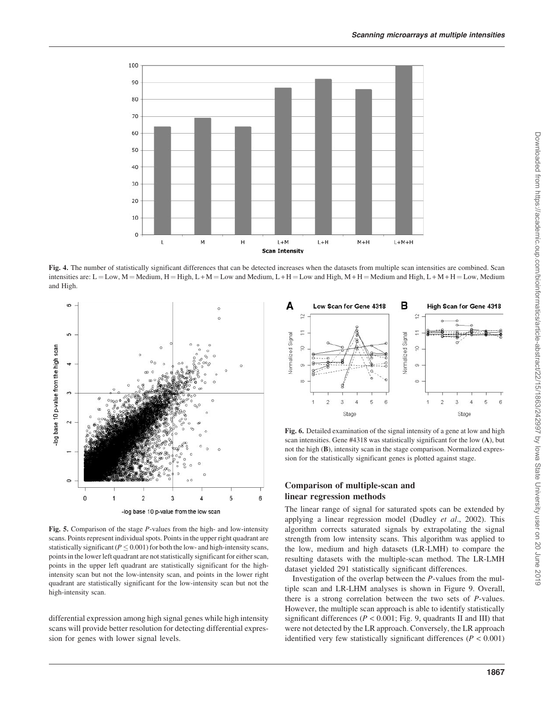

Fig. 4. The number of statistically significant differences that can be detected increases when the datasets from multiple scan intensities are combined. Scan intensities are: L = Low, M = Medium, H = High, L + M = Low and Medium, L + H = Low and High, M + H = Medium and High, L + M + H = Low, Medium and High.



Fig. 5. Comparison of the stage P-values from the high- and low-intensity scans. Points represent individual spots. Points in the upper right quadrant are statistically significant ( $P \leq 0.001$ ) for both the low- and high-intensity scans, points in the lower left quadrant are not statistically significant for either scan, points in the upper left quadrant are statistically significant for the highintensity scan but not the low-intensity scan, and points in the lower right quadrant are statistically significant for the low-intensity scan but not the high-intensity scan.

differential expression among high signal genes while high intensity scans will provide better resolution for detecting differential expression for genes with lower signal levels.



Fig. 6. Detailed examination of the signal intensity of a gene at low and high scan intensities. Gene #4318 was statistically significant for the low (A), but not the high (B), intensity scan in the stage comparison. Normalized expression for the statistically significant genes is plotted against stage.

# Comparison of multiple-scan and linear regression methods

The linear range of signal for saturated spots can be extended by applying a linear regression model (Dudley et al., 2002). This algorithm corrects saturated signals by extrapolating the signal strength from low intensity scans. This algorithm was applied to the low, medium and high datasets (LR-LMH) to compare the resulting datasets with the multiple-scan method. The LR-LMH dataset yielded 291 statistically significant differences.

Investigation of the overlap between the P-values from the multiple scan and LR-LHM analyses is shown in Figure 9. Overall, there is a strong correlation between the two sets of P-values. However, the multiple scan approach is able to identify statistically significant differences ( $P < 0.001$ ; Fig. 9, quadrants II and III) that were not detected by the LR approach. Conversely, the LR approach identified very few statistically significant differences ( $P < 0.001$ )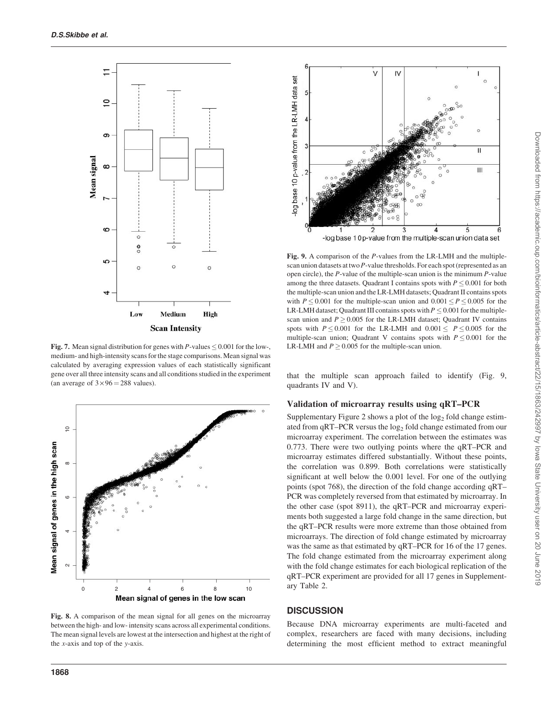

Fig. 7. Mean signal distribution for genes with P-values  $\leq 0.001$  for the low-, medium- and high-intensity scans for the stage comparisons. Mean signal was calculated by averaging expression values of each statistically significant gene over all three intensity scans and all conditions studied in the experiment (an average of  $3 \times 96 = 288$  values).



Fig. 8. A comparison of the mean signal for all genes on the microarray between the high- and low- intensity scans across all experimental conditions. The mean signal levels are lowest at the intersection and highest at the right of the x-axis and top of the y-axis.



Fig. 9. A comparison of the P-values from the LR-LMH and the multiplescan union datasets at two P-value thresholds. For each spot (represented as an open circle), the  $P$ -value of the multiple-scan union is the minimum  $P$ -value among the three datasets. Quadrant I contains spots with  $P \le 0.001$  for both the multiple-scan union and the LR-LMH datasets; Quadrant II contains spots with  $P \le 0.001$  for the multiple-scan union and  $0.001 \le P \le 0.005$  for the LR-LMH dataset; Quadrant III contains spots with  $P \leq 0.001$  for the multiplescan union and  $P \ge 0.005$  for the LR-LMH dataset; Quadrant IV contains spots with  $P \le 0.001$  for the LR-LMH and  $0.001 \le P \le 0.005$  for the multiple-scan union; Quadrant V contains spots with  $P \le 0.001$  for the LR-LMH and  $P \ge 0.005$  for the multiple-scan union.

that the multiple scan approach failed to identify (Fig. 9, quadrants IV and V).

#### Validation of microarray results using qRT–PCR

Supplementary Figure 2 shows a plot of the  $log<sub>2</sub>$  fold change estimated from qRT–PCR versus the log<sub>2</sub> fold change estimated from our microarray experiment. The correlation between the estimates was 0.773. There were two outlying points where the qRT–PCR and microarray estimates differed substantially. Without these points, the correlation was 0.899. Both correlations were statistically significant at well below the 0.001 level. For one of the outlying points (spot 768), the direction of the fold change according qRT– PCR was completely reversed from that estimated by microarray. In the other case (spot 8911), the qRT–PCR and microarray experiments both suggested a large fold change in the same direction, but the qRT–PCR results were more extreme than those obtained from microarrays. The direction of fold change estimated by microarray was the same as that estimated by qRT–PCR for 16 of the 17 genes. The fold change estimated from the microarray experiment along with the fold change estimates for each biological replication of the qRT–PCR experiment are provided for all 17 genes in Supplementary Table 2.

# **DISCUSSION**

Because DNA microarray experiments are multi-faceted and complex, researchers are faced with many decisions, including determining the most efficient method to extract meaningful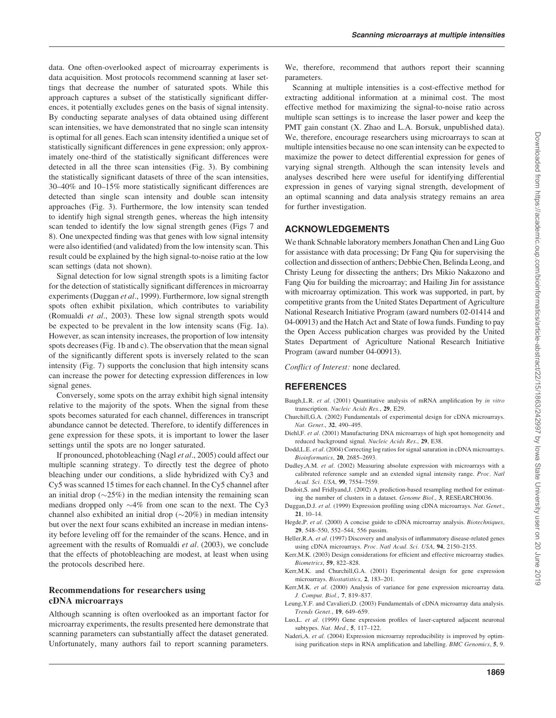data. One often-overlooked aspect of microarray experiments is data acquisition. Most protocols recommend scanning at laser settings that decrease the number of saturated spots. While this approach captures a subset of the statistically significant differences, it potentially excludes genes on the basis of signal intensity. By conducting separate analyses of data obtained using different scan intensities, we have demonstrated that no single scan intensity is optimal for all genes. Each scan intensity identified a unique set of statistically significant differences in gene expression; only approximately one-third of the statistically significant differences were detected in all the three scan intensities (Fig. 3). By combining the statistically significant datasets of three of the scan intensities, 30–40% and 10–15% more statistically significant differences are detected than single scan intensity and double scan intensity approaches (Fig. 3). Furthermore, the low intensity scan tended to identify high signal strength genes, whereas the high intensity scan tended to identify the low signal strength genes (Figs 7 and 8). One unexpected finding was that genes with low signal intensity were also identified (and validated) from the low intensity scan. This result could be explained by the high signal-to-noise ratio at the low scan settings (data not shown).

Signal detection for low signal strength spots is a limiting factor for the detection of statistically significant differences in microarray experiments (Duggan et al., 1999). Furthermore, low signal strength spots often exhibit pixilation, which contributes to variability (Romualdi et al., 2003). These low signal strength spots would be expected to be prevalent in the low intensity scans (Fig. 1a). However, as scan intensity increases, the proportion of low intensity spots decreases (Fig. 1b and c). The observation that the mean signal of the significantly different spots is inversely related to the scan intensity (Fig. 7) supports the conclusion that high intensity scans can increase the power for detecting expression differences in low signal genes.

Conversely, some spots on the array exhibit high signal intensity relative to the majority of the spots. When the signal from these spots becomes saturated for each channel, differences in transcript abundance cannot be detected. Therefore, to identify differences in gene expression for these spots, it is important to lower the laser settings until the spots are no longer saturated.

If pronounced, photobleaching (Nagl et al., 2005) could affect our multiple scanning strategy. To directly test the degree of photo bleaching under our conditions, a slide hybridized with Cy3 and Cy5 was scanned 15 times for each channel. In the Cy5 channel after an initial drop  $(\sim 25\%)$  in the median intensity the remaining scan medians dropped only  $\sim$ 4% from one scan to the next. The Cy3 channel also exhibited an initial drop  $(\sim 20\%)$  in median intensity but over the next four scans exhibited an increase in median intensity before leveling off for the remainder of the scans. Hence, and in agreement with the results of Romualdi et al. (2003), we conclude that the effects of photobleaching are modest, at least when using the protocols described here.

# Recommendations for researchers using cDNA microarrays

Although scanning is often overlooked as an important factor for microarray experiments, the results presented here demonstrate that scanning parameters can substantially affect the dataset generated. Unfortunately, many authors fail to report scanning parameters.

We, therefore, recommend that authors report their scanning parameters.

Scanning at multiple intensities is a cost-effective method for extracting additional information at a minimal cost. The most effective method for maximizing the signal-to-noise ratio across multiple scan settings is to increase the laser power and keep the PMT gain constant (X. Zhao and L.A. Borsuk, unpublished data). We, therefore, encourage researchers using microarrays to scan at multiple intensities because no one scan intensity can be expected to maximize the power to detect differential expression for genes of varying signal strength. Although the scan intensity levels and analyses described here were useful for identifying differential expression in genes of varying signal strength, development of an optimal scanning and data analysis strategy remains an area for further investigation.

# ACKNOWLEDGEMENTS

We thank Schnable laboratory members Jonathan Chen and Ling Guo for assistance with data processing; Dr Fang Qiu for supervising the collection and dissection of anthers; Debbie Chen, Belinda Leong, and Christy Leung for dissecting the anthers; Drs Mikio Nakazono and Fang Qiu for building the microarray; and Hailing Jin for assistance with microarray optimization. This work was supported, in part, by competitive grants from the United States Department of Agriculture National Research Initiative Program (award numbers 02-01414 and 04-00913) and the Hatch Act and State of Iowa funds. Funding to pay the Open Access publication charges was provided by the United States Department of Agriculture National Research Initiative Program (award number 04-00913).

Conflict of Interest: none declared.

# REFERENCES

- Baugh, L.R. et al. (2001) Quantitative analysis of mRNA amplification by in vitro transcription. Nucleic Acids Res., 29, E29.
- Churchill,G.A. (2002) Fundamentals of experimental design for cDNA microarrays. Nat. Genet., 32, 490–495.
- Diehl,F. et al. (2001) Manufacturing DNA microarrays of high spot homogeneity and reduced background signal. Nucleic Acids Res., 29, E38.
- Dodd, L.E. et al. (2004) Correcting log ratios for signal saturation in cDNA microarrays. Bioinformatics, 20, 2685–2693.
- Dudley, A.M. et al. (2002) Measuring absolute expression with microarrays with a calibrated reference sample and an extended signal intensity range. Proc. Natl Acad. Sci. USA, 99, 7554–7559.
- Dudoit,S. and Fridlyand,J. (2002) A prediction-based resampling method for estimating the number of clusters in a dataset. Genome Biol., 3, RESEARCH0036.
- Duggan,D.J. et al. (1999) Expression profiling using cDNA microarrays. Nat. Genet., 21, 10–14.
- Hegde, P. et al. (2000) A concise guide to cDNA microarray analysis. Biotechniques, 29, 548–550, 552–544, 556 passim.
- Heller, R.A. et al. (1997) Discovery and analysis of inflammatory disease-related genes using cDNA microarrays. Proc. Natl Acad. Sci. USA, 94, 2150–2155.
- Kerr,M.K. (2003) Design considerations for efficient and effective microarray studies. Biometrics, 59, 822–828.
- Kerr,M.K. and Churchill,G.A. (2001) Experimental design for gene expression microarrays. Biostatistics, 2, 183–201.
- Kerr, M.K. et al. (2000) Analysis of variance for gene expression microarray data. J. Comput. Biol., 7, 819–837.
- Leung,Y.F. and Cavalieri,D. (2003) Fundamentals of cDNA microarray data analysis. Trends Genet., 19, 649–659.
- Luo, L. et al. (1999) Gene expression profiles of laser-captured adjacent neuronal subtypes. Nat. Med., 5, 117–122.
- Naderi, A. et al. (2004) Expression microarray reproducibility is improved by optimising purification steps in RNA amplification and labelling. BMC Genomics, 5, 9.